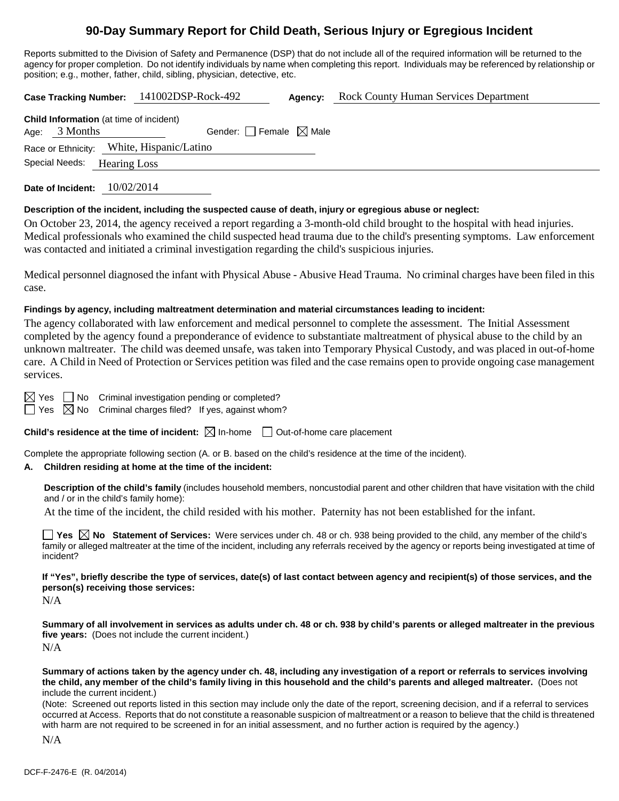## **90-Day Summary Report for Child Death, Serious Injury or Egregious Incident**

Reports submitted to the Division of Safety and Permanence (DSP) that do not include all of the required information will be returned to the agency for proper completion. Do not identify individuals by name when completing this report. Individuals may be referenced by relationship or position; e.g., mother, father, child, sibling, physician, detective, etc.

**Case Tracking Number:** 141002DSP-Rock-492 **Agency:** Rock County Human Services Department **Child Information** (at time of incident) Age:  $3$  Months Gender: Female  $\boxtimes$  Male

Race or Ethnicity: White, Hispanic/Latino

Special Needs: Hearing Loss

**Date of Incident:** 10/02/2014

#### **Description of the incident, including the suspected cause of death, injury or egregious abuse or neglect:**

On October 23, 2014, the agency received a report regarding a 3-month-old child brought to the hospital with head injuries. Medical professionals who examined the child suspected head trauma due to the child's presenting symptoms. Law enforcement was contacted and initiated a criminal investigation regarding the child's suspicious injuries.

Medical personnel diagnosed the infant with Physical Abuse - Abusive Head Trauma. No criminal charges have been filed in this case.

#### **Findings by agency, including maltreatment determination and material circumstances leading to incident:**

The agency collaborated with law enforcement and medical personnel to complete the assessment. The Initial Assessment completed by the agency found a preponderance of evidence to substantiate maltreatment of physical abuse to the child by an unknown maltreater. The child was deemed unsafe, was taken into Temporary Physical Custody, and was placed in out-of-home care. A Child in Need of Protection or Services petition was filed and the case remains open to provide ongoing case management services.

 $\boxtimes$  Yes  $\Box$  No Criminal investigation pending or completed?

 $\Box$  Yes  $\boxtimes$  No Criminal charges filed? If yes, against whom?

**Child's residence at the time of incident:**  $\boxtimes$  In-home  $\Box$  Out-of-home care placement

Complete the appropriate following section (A. or B. based on the child's residence at the time of the incident).

## **A. Children residing at home at the time of the incident:**

**Description of the child's family** (includes household members, noncustodial parent and other children that have visitation with the child and / or in the child's family home):

At the time of the incident, the child resided with his mother. Paternity has not been established for the infant.

■ Yes △ No Statement of Services: Were services under ch. 48 or ch. 938 being provided to the child, any member of the child's family or alleged maltreater at the time of the incident, including any referrals received by the agency or reports being investigated at time of incident?

**If "Yes", briefly describe the type of services, date(s) of last contact between agency and recipient(s) of those services, and the person(s) receiving those services:**

N/A

**Summary of all involvement in services as adults under ch. 48 or ch. 938 by child's parents or alleged maltreater in the previous five years:** (Does not include the current incident.) N/A

**Summary of actions taken by the agency under ch. 48, including any investigation of a report or referrals to services involving the child, any member of the child's family living in this household and the child's parents and alleged maltreater.** (Does not include the current incident.)

(Note: Screened out reports listed in this section may include only the date of the report, screening decision, and if a referral to services occurred at Access. Reports that do not constitute a reasonable suspicion of maltreatment or a reason to believe that the child is threatened with harm are not required to be screened in for an initial assessment, and no further action is required by the agency.)

N/A